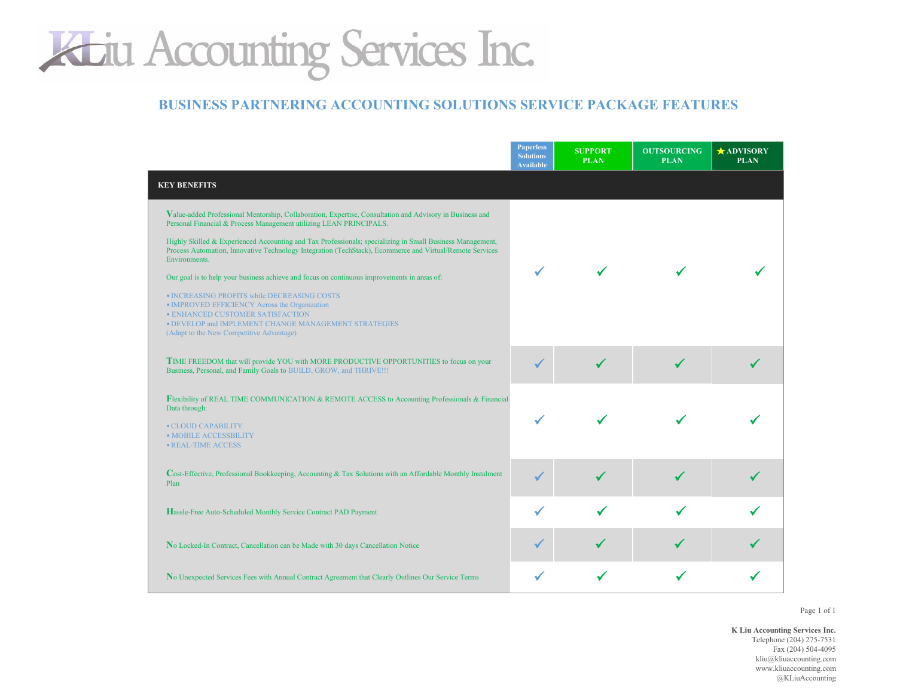#### **BUSINESS PARTNERING ACCOUNTING SOLUTIONS SERVICE PACKAGE FEATURES**

|                                                                                                                                                                                                                                        | <b>Paperless</b><br><b>Solutions</b><br><b>Available</b> | <b>SUPPORT</b><br><b>PLAN</b> | <b>OUTSOURCING</b><br><b>PLAN</b> | <b>ADVISORY</b><br><b>PLAN</b> |
|----------------------------------------------------------------------------------------------------------------------------------------------------------------------------------------------------------------------------------------|----------------------------------------------------------|-------------------------------|-----------------------------------|--------------------------------|
| <b>KEY BENEFITS</b>                                                                                                                                                                                                                    |                                                          |                               |                                   |                                |
| Value-added Professional Mentorship, Collaboration, Expertise, Consultation and Advisory in Business and<br>Personal Financial & Process Management utilizing LEAN PRINCIPALS.                                                         |                                                          |                               |                                   |                                |
| Highly Skilled & Experienced Accounting and Tax Professionals; specializing in Small Business Management,<br>Process Automation, Innovative Technology Integration (TechStack), Ecommerce and Virtual/Remote Services<br>Environments. |                                                          |                               |                                   |                                |
| Our goal is to help your business achieve and focus on continuous improvements in areas of:                                                                                                                                            |                                                          |                               |                                   |                                |
| · INCREASING PROFITS while DECREASING COSTS<br>• IMPROVED EFFICIENCY Across the Organization<br>· ENHANCED CUSTOMER SATISFACTION<br>. DEVELOP and IMPLEMENT CHANGE MANAGEMENT STRATEGIES<br>(Adapt to the New Competitive Advantage)   |                                                          |                               |                                   |                                |
| TIME FREEDOM that will provide YOU with MORE PRODUCTIVE OPPORTUNITIES to focus on your<br>Business, Personal, and Family Goals to BUILD, GROW, and THRIVE !!!                                                                          |                                                          |                               |                                   |                                |
| <b>Flexibility of REAL TIME COMMUNICATION &amp; REMOTE ACCESS to Accounting Professionals &amp; Financial</b><br>Data through:                                                                                                         |                                                          |                               |                                   |                                |
| • CLOUD CAPABILITY<br>· MOBILE ACCESSBILITY<br>· REAL-TIME ACCESS                                                                                                                                                                      |                                                          |                               |                                   |                                |
| Cost-Effective, Professional Bookkeeping, Accounting & Tax Solutions with an Affordable Monthly Instalment<br>Plan                                                                                                                     |                                                          |                               |                                   |                                |
| Hassle-Free Auto-Scheduled Monthly Service Contract PAD Payment                                                                                                                                                                        |                                                          |                               |                                   |                                |
| No Locked-In Contract, Cancellation can be Made with 30 days Cancellation Notice                                                                                                                                                       |                                                          |                               |                                   |                                |
| No Unexpected Services Fees with Annual Contract Agreement that Clearly Outlines Our Service Terms                                                                                                                                     |                                                          |                               |                                   |                                |

Page 1 of 1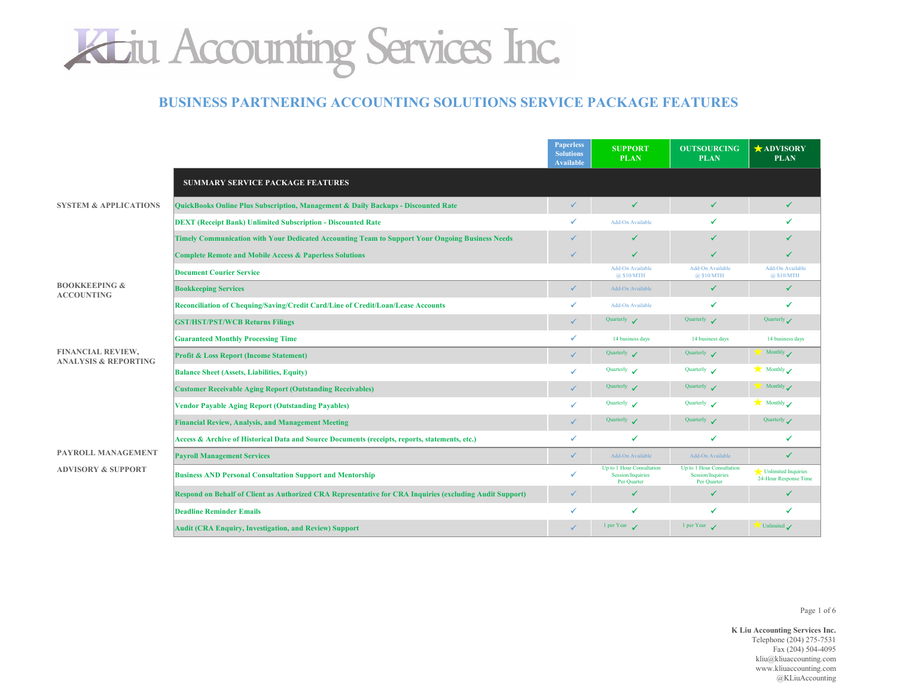

#### **BUSINESS PARTNERING ACCOUNTING SOLUTIONS SERVICE PACKAGE FEATURES**

|                                                      |                                                                                                          | <b>Paperless</b><br><b>Solutions</b><br><b>Available</b> | <b>SUPPORT</b><br><b>PLAN</b>                                        | <b>OUTSOURCING</b><br><b>PLAN</b>                             | <b>ADVISORY</b><br><b>PLAN</b>               |
|------------------------------------------------------|----------------------------------------------------------------------------------------------------------|----------------------------------------------------------|----------------------------------------------------------------------|---------------------------------------------------------------|----------------------------------------------|
|                                                      | <b>SUMMARY SERVICE PACKAGE FEATURES</b>                                                                  |                                                          |                                                                      |                                                               |                                              |
| <b>SYSTEM &amp; APPLICATIONS</b>                     | <b>QuickBooks Online Plus Subscription, Management &amp; Daily Backups - Discounted Rate</b>             | ✔                                                        | ✓                                                                    | ✓                                                             | ✓                                            |
|                                                      | <b>DEXT (Receipt Bank) Unlimited Subscription - Discounted Rate</b>                                      |                                                          | Add-On Available                                                     |                                                               |                                              |
|                                                      | Timely Communication with Your Dedicated Accounting Team to Support Your Ongoing Business Needs          | ✔                                                        | ✔                                                                    | ✔                                                             |                                              |
|                                                      | <b>Complete Remote and Mobile Access &amp; Paperless Solutions</b>                                       | √                                                        | ✓                                                                    | ✔                                                             | ✔                                            |
|                                                      | <b>Document Courier Service</b>                                                                          |                                                          | <b>Add-On Available</b><br>@ \$10/MTH                                | Add-On Available<br>@ \$10/MTH                                | <b>Add-On Available</b><br>@ \$10/MTH        |
| <b>BOOKKEEPING &amp;</b><br><b>ACCOUNTING</b>        | <b>Bookkeeping Services</b>                                                                              | ✓                                                        | Add-On Available                                                     | ✔                                                             | ✓                                            |
|                                                      | Reconciliation of Chequing/Saving/Credit Card/Line of Credit/Loan/Lease Accounts                         |                                                          | Add-On Available                                                     | ✔                                                             | ✔                                            |
|                                                      | <b>GST/HST/PST/WCB Returns Filings</b>                                                                   | ✓                                                        | Quarterly /                                                          | Quarterly /                                                   | Quarterly                                    |
|                                                      | <b>Guaranteed Monthly Processing Time</b>                                                                | ✓                                                        | 14 business days                                                     | 14 business days                                              | 14 business days                             |
| FINANCIAL REVIEW,<br><b>ANALYSIS &amp; REPORTING</b> | <b>Profit &amp; Loss Report (Income Statement)</b>                                                       | ✓                                                        | Quarterly <                                                          | Quarterly <                                                   | Monthly $\checkmark$                         |
|                                                      | <b>Balance Sheet (Assets, Liabilities, Equity)</b>                                                       | ✓                                                        | Quarterly /                                                          | Quarterly $\boldsymbol{\checkmark}$                           | $\bigstar$ Monthly                           |
|                                                      | <b>Customer Receivable Aging Report (Outstanding Receivables)</b>                                        | ✓                                                        | Quarterly $\sqrt{}$                                                  | Quarterly /                                                   | $\blacksquare$ Monthly                       |
|                                                      | <b>Vendor Payable Aging Report (Outstanding Payables)</b>                                                | ✓                                                        | Quarterly /                                                          | Quarterly $\mathcal{L}$                                       | Monthly                                      |
|                                                      | <b>Financial Review, Analysis, and Management Meeting</b>                                                | ✔                                                        | Quarterly /                                                          | Quarterly $\sqrt{}$                                           | Quarterly                                    |
|                                                      | Access & Archive of Historical Data and Source Documents (receipts, reports, statements, etc.)           | ✓                                                        | ✔                                                                    | ✔                                                             | ✔                                            |
| PAYROLL MANAGEMENT                                   | <b>Payroll Management Services</b>                                                                       | ✓                                                        | Add-On Available                                                     | Add-On Available                                              | ✓                                            |
| <b>ADVISORY &amp; SUPPORT</b>                        | <b>Business AND Personal Consultation Support and Mentorship</b>                                         | ✓                                                        | Up to 1 Hour Consultation<br><b>Session/Inquiries</b><br>Per Quarter | Up to 1 Hour Consultation<br>Session/Inquiries<br>Per Quarter | Unlimited Inquiries<br>24-Hour Response Time |
|                                                      | Respond on Behalf of Client as Authorized CRA Representative for CRA Inquiries (excluding Audit Support) | ✔                                                        | ✓                                                                    | ✔                                                             | ✓                                            |
|                                                      | <b>Deadline Reminder Emails</b>                                                                          | ✓                                                        | ✔                                                                    | ✔                                                             | ✔                                            |
|                                                      | Audit (CRA Enquiry, Investigation, and Review) Support                                                   |                                                          | 1 per Year                                                           | 1 per Year $\sqrt{}$                                          | Unlimited                                    |

Page 1 of 6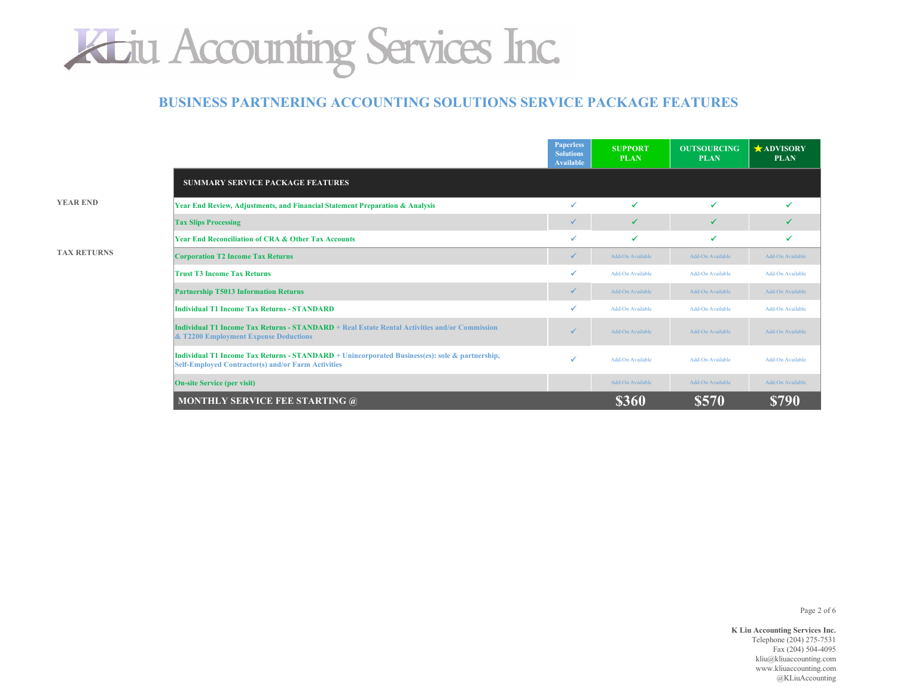

#### **BUSINESS PARTNERING ACCOUNTING SOLUTIONS SERVICE PACKAGE FEATURES**

**YEAR END**

| <b>TAX RETURNS</b> |  |
|--------------------|--|
|                    |  |

|                                                                                                                                                             | <b>Paperless</b><br><b>Solutions</b><br><b>Available</b> | <b>SUPPORT</b><br><b>PLAN</b> | <b>OUTSOURCING</b><br><b>PLAN</b> | $\star$ ADVISORY<br><b>PLAN</b> |
|-------------------------------------------------------------------------------------------------------------------------------------------------------------|----------------------------------------------------------|-------------------------------|-----------------------------------|---------------------------------|
| <b>SUMMARY SERVICE PACKAGE FEATURES</b>                                                                                                                     |                                                          |                               |                                   |                                 |
| Year End Review, Adjustments, and Financial Statement Preparation & Analysis                                                                                | ✓                                                        | ✔                             | ✔                                 |                                 |
| <b>Tax Slips Processing</b>                                                                                                                                 | $\checkmark$                                             | ✓                             | ✔                                 | ✓                               |
| <b>Year End Reconciliation of CRA &amp; Other Tax Accounts</b>                                                                                              | ✓                                                        | ✔                             | ✔                                 | ✔                               |
| <b>Corporation T2 Income Tax Returns</b>                                                                                                                    | ✔                                                        | Add-On Available              | Add-On Available                  | Add-On Available                |
| <b>Trust T3 Income Tax Returns</b>                                                                                                                          | ✓                                                        | Add-On Available              | Add-On Available                  | Add-On Available                |
| <b>Partnership T5013 Information Returns</b>                                                                                                                | ✔                                                        | Add-On Available              | Add-On Available                  | Add-On Available                |
| Individual T1 Income Tax Returns - STANDARD                                                                                                                 | ✓                                                        | Add-On Available              | Add-On Available                  | <b>Add-On Available</b>         |
| Individual T1 Income Tax Returns - STANDARD + Real Estate Rental Activities and/or Commission<br>& T2200 Employment Expense Deductions                      | $\checkmark$                                             | Add-On Available              | Add-On Available                  | Add-On Available                |
| Individual T1 Income Tax Returns - STANDARD + Unincorporated Business(es): sole & partnership,<br><b>Self-Employed Contractor(s) and/or Farm Activities</b> | ✓                                                        | Add-On Available              | Add-On Available                  | Add-On Available                |
| <b>On-site Service (per visit)</b>                                                                                                                          |                                                          | Add-On Available              | Add-On Available                  | Add-On Available                |
| <b>MONTHLY SERVICE FEE STARTING @</b>                                                                                                                       |                                                          | \$360                         | \$570                             | <b>\$790</b>                    |

Page 2 of 6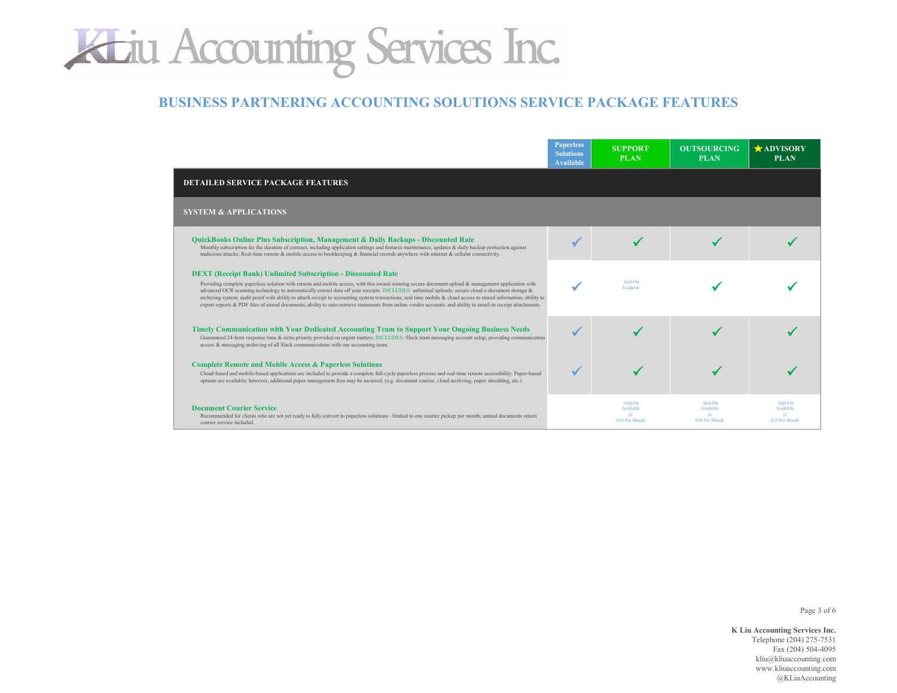### **BUSINESS PARTNERING ACCOUNTING SOLUTIONS SERVICE PACKAGE FEATURES**

|                                                                                                                                                                                                                                                                                                                                                                                                                                                                                                                                                                                                                                                                                                                    | <b>Paperless</b><br><b>Solutions</b><br><b>Available</b> | <b>SUPPORT</b><br><b>PLAN</b>         | <b>OUTSOURCING</b><br><b>PLAN</b>     | <b>ADVISORY</b><br><b>PLAN</b>        |
|--------------------------------------------------------------------------------------------------------------------------------------------------------------------------------------------------------------------------------------------------------------------------------------------------------------------------------------------------------------------------------------------------------------------------------------------------------------------------------------------------------------------------------------------------------------------------------------------------------------------------------------------------------------------------------------------------------------------|----------------------------------------------------------|---------------------------------------|---------------------------------------|---------------------------------------|
| <b>DETAILED SERVICE PACKAGE FEATURES</b>                                                                                                                                                                                                                                                                                                                                                                                                                                                                                                                                                                                                                                                                           |                                                          |                                       |                                       |                                       |
| <b>SYSTEM &amp; APPLICATIONS</b>                                                                                                                                                                                                                                                                                                                                                                                                                                                                                                                                                                                                                                                                                   |                                                          |                                       |                                       |                                       |
| <b>OuickBooks Online Plus Subscription, Management &amp; Daily Backups - Discounted Rate</b><br>Monthly subscription for the duration of contract, including application settings and features maintenance, updates & daily backup protection against<br>malicious attacks; Real-time remote & mobile access to bookkeeping & financial records anywhere with internet & cellular connectivity.                                                                                                                                                                                                                                                                                                                    |                                                          |                                       |                                       |                                       |
| <b>DEXT</b> (Receipt Bank) Unlimited Subscription - Discounted Rate<br>Providing complete paperless solution with remote and mobile access, with this award-winning secure document upload & management application with<br>advanced OCR scanning technology to automatically extract data off your receipts. INCLUDES: unlimited uploads; secure cloud e-document storage &<br>archiving system; audit proof with ability to attach receipt to accounting system transactions; real time mobile & cloud access to stored information; ability to<br>export reports & PDF files of stored documents; ability to auto-retrieve statements from online vendor accounts; and ability to email-in receipt attachments. |                                                          | Add-On<br>Available                   |                                       |                                       |
| <b>Timely Communication with Your Dedicated Accounting Team to Support Your Ongoing Business Needs</b><br>Guaranteed 24-hour response time & extra priority provided on urgent matters. INCLUDES: Slack team messaging account setup, providing communication<br>access & messaging archiving of all Slack communications with our accounting team.                                                                                                                                                                                                                                                                                                                                                                |                                                          |                                       |                                       |                                       |
| <b>Complete Remote and Mobile Access &amp; Paperless Solutions</b><br>Cloud-based and mobile-based applications are included to provide a complete full-cycle paperless process and real-time remote accessibility. Paper-based<br>options are available; however, additional paper management fees may be incurred. (e.g. document courier, cloud archiving, paper shredding, etc.)                                                                                                                                                                                                                                                                                                                               |                                                          |                                       |                                       |                                       |
| <b>Document Courier Service</b><br>Recommended for clients who are not yet ready to fully convert to paperless solutions - limited to one courier pickup per month; annual documents return<br>courier service included.                                                                                                                                                                                                                                                                                                                                                                                                                                                                                           |                                                          | Add-On<br>Available<br>\$10 Per Month | Add-On<br>Available<br>\$10 Per Month | Add-On<br>Available<br>\$10 Per Month |

Page 3 of 6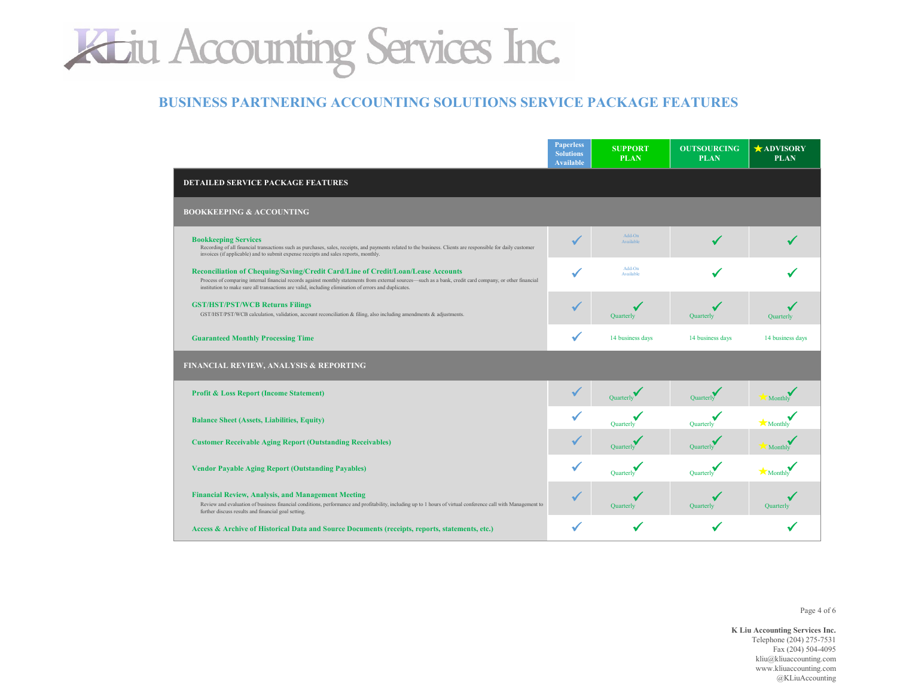### **BUSINESS PARTNERING ACCOUNTING SOLUTIONS SERVICE PACKAGE FEATURES**

|                                                                                                                                                                                                                                                                                                                                                      | <b>Paperless</b><br><b>Solutions</b><br><b>Available</b> | <b>SUPPORT</b><br><b>PLAN</b> | <b>OUTSOURCING</b><br><b>PLAN</b> | <b>ADVISORY</b><br><b>PLAN</b> |
|------------------------------------------------------------------------------------------------------------------------------------------------------------------------------------------------------------------------------------------------------------------------------------------------------------------------------------------------------|----------------------------------------------------------|-------------------------------|-----------------------------------|--------------------------------|
| <b>DETAILED SERVICE PACKAGE FEATURES</b>                                                                                                                                                                                                                                                                                                             |                                                          |                               |                                   |                                |
| <b>BOOKKEEPING &amp; ACCOUNTING</b>                                                                                                                                                                                                                                                                                                                  |                                                          |                               |                                   |                                |
| <b>Bookkeeping Services</b><br>Recording of all financial transactions such as purchases, sales, receipts, and payments related to the business. Clients are responsible for daily customer<br>invoices (if applicable) and to submit expense receipts and sales reports, monthly.                                                                   |                                                          | Add-On<br>Available           |                                   |                                |
| Reconciliation of Chequing/Saving/Credit Card/Line of Credit/Loan/Lease Accounts<br>Process of comparing internal financial records against monthly statements from external sources—such as a bank, credit card company, or other financial<br>institution to make sure all transactions are valid, including elimination of errors and duplicates. |                                                          | Add-On<br>Available           |                                   |                                |
| <b>GST/HST/PST/WCB Returns Filings</b><br>GST/HST/PST/WCB calculation, validation, account reconciliation & filing, also including amendments & adjustments.                                                                                                                                                                                         |                                                          | Quarterly                     | Quarterly                         | Quarterly                      |
| <b>Guaranteed Monthly Processing Time</b>                                                                                                                                                                                                                                                                                                            |                                                          | 14 business days              | 14 business days                  | 14 business days               |
| FINANCIAL REVIEW, ANALYSIS & REPORTING                                                                                                                                                                                                                                                                                                               |                                                          |                               |                                   |                                |
| <b>Profit &amp; Loss Report (Income Statement)</b>                                                                                                                                                                                                                                                                                                   |                                                          | Quarterly                     | Quarterly                         | Monthly                        |
| <b>Balance Sheet (Assets, Liabilities, Equity)</b>                                                                                                                                                                                                                                                                                                   |                                                          | Quarterly                     | Quarterly                         | <b>Monthly</b>                 |
| <b>Customer Receivable Aging Report (Outstanding Receivables)</b>                                                                                                                                                                                                                                                                                    |                                                          | <b>Ouarterly</b>              | Quarterly                         | Monthly                        |
| <b>Vendor Payable Aging Report (Outstanding Payables)</b>                                                                                                                                                                                                                                                                                            |                                                          | Quarterly                     | Quarterly                         | Monthly                        |
| <b>Financial Review, Analysis, and Management Meeting</b><br>Review and evaluation of business financial conditions, performance and profitability, including up to 1 hours of virtual conference call with Management to<br>further discuss results and financial goal setting.                                                                     |                                                          | Quarterly                     | Quarterly                         | Quarterly                      |
| Access & Archive of Historical Data and Source Documents (receipts, reports, statements, etc.)                                                                                                                                                                                                                                                       |                                                          |                               |                                   |                                |

Page 4 of 6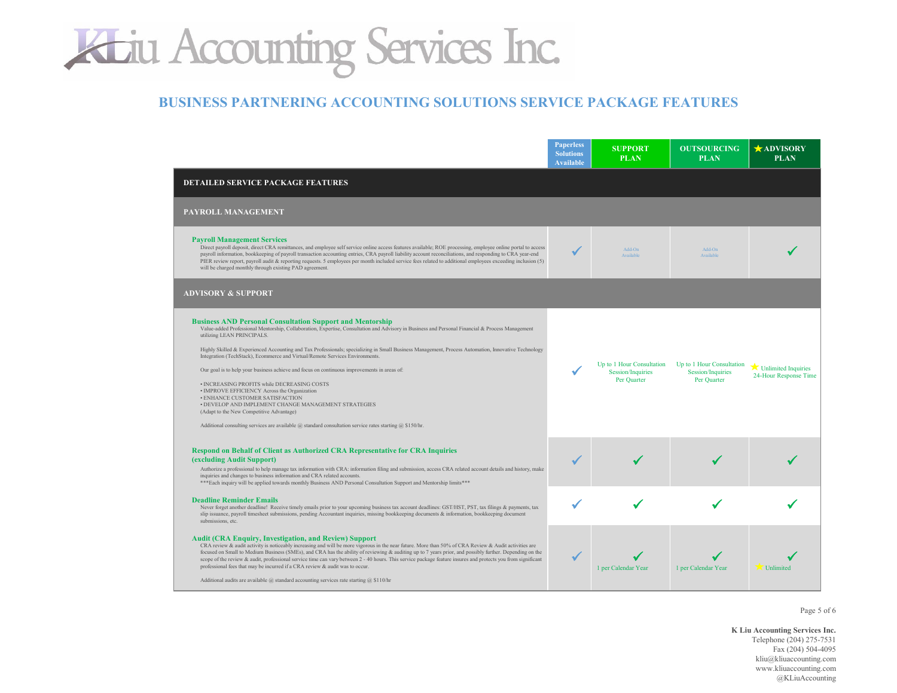### **BUSINESS PARTNERING ACCOUNTING SOLUTIONS SERVICE PACKAGE FEATURES**

|                                                                                                                                                                                                                                                                                                                                                                                                                                                                                                                                                                                                                                                                                                                                                                                                                                                                                                                                                         | <b>Paperless</b><br><b>Solutions</b><br><b>Available</b> | <b>SUPPORT</b><br><b>PLAN</b>                                 | <b>OUTSOURCING</b><br><b>PLAN</b>                             | <b>ADVISORY</b><br><b>PLAN</b>               |
|---------------------------------------------------------------------------------------------------------------------------------------------------------------------------------------------------------------------------------------------------------------------------------------------------------------------------------------------------------------------------------------------------------------------------------------------------------------------------------------------------------------------------------------------------------------------------------------------------------------------------------------------------------------------------------------------------------------------------------------------------------------------------------------------------------------------------------------------------------------------------------------------------------------------------------------------------------|----------------------------------------------------------|---------------------------------------------------------------|---------------------------------------------------------------|----------------------------------------------|
| <b>DETAILED SERVICE PACKAGE FEATURES</b>                                                                                                                                                                                                                                                                                                                                                                                                                                                                                                                                                                                                                                                                                                                                                                                                                                                                                                                |                                                          |                                                               |                                                               |                                              |
| PAYROLL MANAGEMENT                                                                                                                                                                                                                                                                                                                                                                                                                                                                                                                                                                                                                                                                                                                                                                                                                                                                                                                                      |                                                          |                                                               |                                                               |                                              |
| <b>Payroll Management Services</b><br>Direct payroll deposit, direct CRA remittances, and employee self service online access features available; ROE processing, employee online portal to access<br>payroll information, bookkeeping of payroll transaction accounting entries, CRA payroll liability account reconciliations, and responding to CRA year-end<br>PIER review report, payroll audit & reporting requests. 5 employees per month included service fees related to additional employees exceeding inclusion (5)<br>will be charged monthly through existing PAD agreement.                                                                                                                                                                                                                                                                                                                                                               | ✔                                                        | Add-On<br>Available                                           | Add-On<br>Available                                           |                                              |
| <b>ADVISORY &amp; SUPPORT</b>                                                                                                                                                                                                                                                                                                                                                                                                                                                                                                                                                                                                                                                                                                                                                                                                                                                                                                                           |                                                          |                                                               |                                                               |                                              |
| <b>Business AND Personal Consultation Support and Mentorship</b><br>Value-added Professional Mentorship, Collaboration, Expertise, Consultation and Advisory in Business and Personal Financial & Process Management<br>utilizing LEAN PRINCIPALS.<br>Highly Skilled & Experienced Accounting and Tax Professionals; specializing in Small Business Management, Process Automation, Innovative Technology<br>Integration (TechStack), Ecommerce and Virtual/Remote Services Environments.<br>Our goal is to help your business achieve and focus on continuous improvements in areas of:<br>· INCREASING PROFITS while DECREASING COSTS<br>• IMPROVE EFFICIENCY Across the Organization<br>• ENHANCE CUSTOMER SATISFACTION<br>• DEVELOP AND IMPLEMENT CHANGE MANAGEMENT STRATEGIES<br>(Adapt to the New Competitive Advantage)<br>Additional consulting services are available $\omega$ standard consultation service rates starting $\omega$ \$150/hr. |                                                          | Up to 1 Hour Consultation<br>Session/Inquiries<br>Per Quarter | Up to 1 Hour Consultation<br>Session/Inquiries<br>Per Quarter | Unlimited Inquiries<br>24-Hour Response Time |
| <b>Respond on Behalf of Client as Authorized CRA Representative for CRA Inquiries</b><br>(excluding Audit Support)<br>Authorize a professional to help manage tax information with CRA: information filing and submission, access CRA related account details and history, make<br>inquiries and changes to business information and CRA related accounts.<br>*** Each inquiry will be applied towards monthly Business AND Personal Consultation Support and Mentorship limits ***                                                                                                                                                                                                                                                                                                                                                                                                                                                                     |                                                          |                                                               |                                                               |                                              |
| <b>Deadline Reminder Emails</b><br>Never forget another deadline! Receive timely emails prior to your upcoming business tax account deadlines: GST/HST, PST, tax filings & payments, tax<br>slip issuance, payroll timesheet submissions, pending Accountant inquiries, missing bookkeeping documents & information, bookkeeping document<br>submissions, etc.                                                                                                                                                                                                                                                                                                                                                                                                                                                                                                                                                                                          |                                                          |                                                               |                                                               |                                              |
| <b>Audit (CRA Enquiry, Investigation, and Review) Support</b><br>CRA review & audit activity is noticeably increasing and will be more vigorous in the near future. More than 50% of CRA Review & Audit activities are<br>focused on Small to Medium Business (SMEs), and CRA has the ability of reviewing & auditing up to 7 years prior, and possibly further. Depending on the<br>scope of the review & audit, professional service time can vary between 2 - 40 hours. This service package feature insures and protects you from significant<br>professional fees that may be incurred if a CRA review & audit was to occur.<br>Additional audits are available $@$ standard accounting services rate starting $@$ \$110/hr                                                                                                                                                                                                                        |                                                          | 1 per Calendar Year                                           | 1 per Calendar Year                                           | Unlimited                                    |

Page 5 of 6